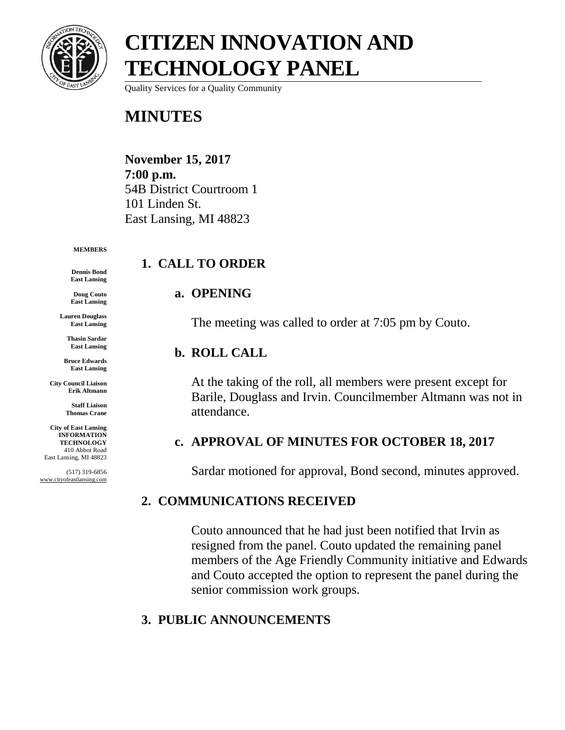

# **CITIZEN INNOVATION AND TECHNOLOGY PANEL**

Quality Services for a Quality Community

### **MINUTES**

**November 15, 2017 7:00 p.m.** 54B District Courtroom 1 101 Linden St. East Lansing, MI 48823

#### **MEMBERS**

**Dennis Bond East Lansing**

**Doug Couto East Lansing**

**Lauren Douglass East Lansing**

> **Thasin Sardar East Lansing**

**Bruce Edwards East Lansing**

**City Council Liaison Erik Altmann**

> **Staff Liaison Thomas Crane**

**City of East Lansing INFORMATION TECHNOLOGY** 410 Abbot Road East Lansing, MI 48823

(517) 319-6856 www.cityofeastlansing.com

### **1. CALL TO ORDER**

#### **a. OPENING**

The meeting was called to order at 7:05 pm by Couto.

#### **b. ROLL CALL**

At the taking of the roll, all members were present except for Barile, Douglass and Irvin. Councilmember Altmann was not in attendance.

#### **c. APPROVAL OF MINUTES FOR OCTOBER 18, 2017**

Sardar motioned for approval, Bond second, minutes approved.

#### **2. COMMUNICATIONS RECEIVED**

Couto announced that he had just been notified that Irvin as resigned from the panel. Couto updated the remaining panel members of the Age Friendly Community initiative and Edwards and Couto accepted the option to represent the panel during the senior commission work groups.

### **3. PUBLIC ANNOUNCEMENTS**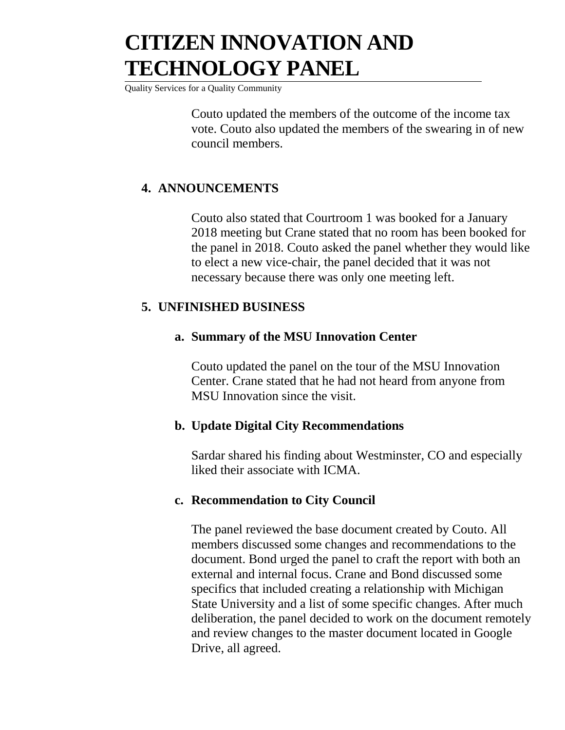# **CITIZEN INNOVATION AND TECHNOLOGY PANEL**

Quality Services for a Quality Community

Couto updated the members of the outcome of the income tax vote. Couto also updated the members of the swearing in of new council members.

#### **4. ANNOUNCEMENTS**

Couto also stated that Courtroom 1 was booked for a January 2018 meeting but Crane stated that no room has been booked for the panel in 2018. Couto asked the panel whether they would like to elect a new vice-chair, the panel decided that it was not necessary because there was only one meeting left.

#### **5. UNFINISHED BUSINESS**

#### **a. Summary of the MSU Innovation Center**

Couto updated the panel on the tour of the MSU Innovation Center. Crane stated that he had not heard from anyone from MSU Innovation since the visit.

#### **b. Update Digital City Recommendations**

Sardar shared his finding about Westminster, CO and especially liked their associate with ICMA.

#### **c. Recommendation to City Council**

The panel reviewed the base document created by Couto. All members discussed some changes and recommendations to the document. Bond urged the panel to craft the report with both an external and internal focus. Crane and Bond discussed some specifics that included creating a relationship with Michigan State University and a list of some specific changes. After much deliberation, the panel decided to work on the document remotely and review changes to the master document located in Google Drive, all agreed.